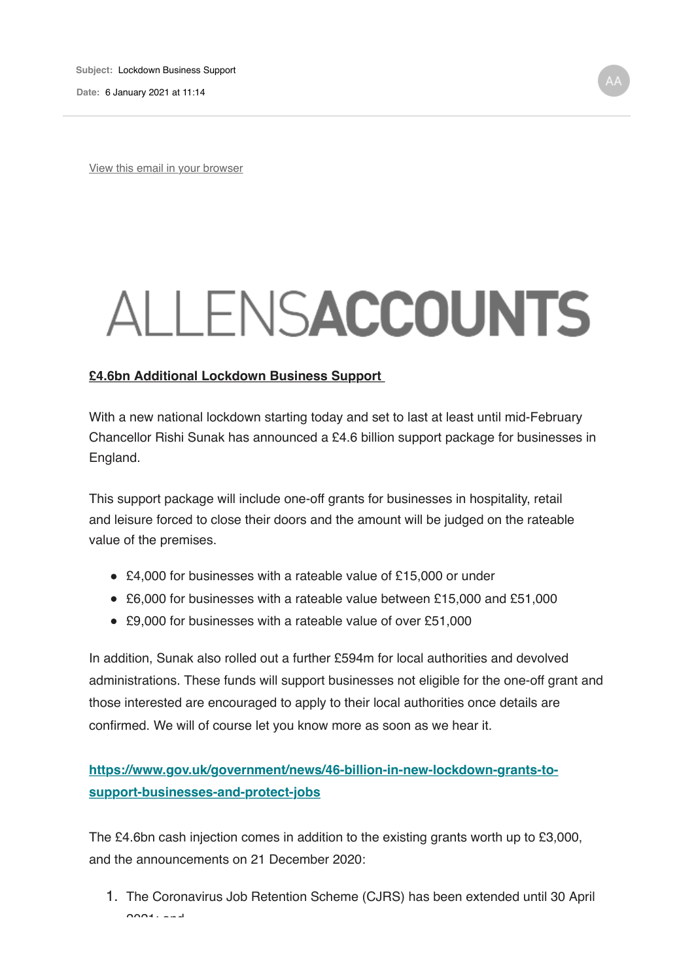**Date:** 6 January 2021 at 11:14

View this email in your browser

## ALLENSACCOUNTS

## **£4.6bn Additional Lockdown Business Support**

With a new national lockdown starting today and set to last at least until mid-February Chancellor Rishi Sunak has announced a £4.6 billion support package for businesses in England.

This support package will include one-off grants for businesses in hospitality, retail and leisure forced to close their doors and the amount will be judged on the rateable value of the premises.

- £4,000 for businesses with a rateable value of £15,000 or under
- £6,000 for businesses with a rateable value between £15,000 and £51,000
- £9,000 for businesses with a rateable value of over £51,000

In addition, Sunak also rolled out a further £594m for local authorities and devolved administrations. These funds will support businesses not eligible for the one-off grant and those interested are encouraged to apply to their local authorities once details are confirmed. We will of course let you know more as soon as we hear it.

**https://www.gov.uk/government/news/46-billion-in-new-lockdown-grants-tosupport-businesses-and-protect-jobs**

The £4.6bn cash injection comes in addition to the existing grants worth up to £3,000, and the announcements on 21 December 2020:

1. The Coronavirus Job Retention Scheme (CJRS) has been extended until 30 April  $2021$